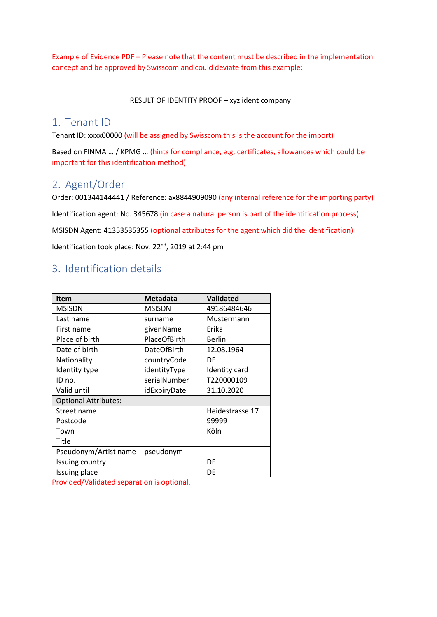Example of Evidence PDF – Please note that the content must be described in the implementation concept and be approved by Swisscom and could deviate from this example:

RESULT OF IDENTITY PROOF – xyz ident company

## 1. Tenant ID

Tenant ID: xxxx00000 (will be assigned by Swisscom this is the account for the import)

Based on FINMA … / KPMG … (hints for compliance, e.g. certificates, allowances which could be important for this identification method)

## 2. Agent/Order

Order: 001344144441 / Reference: ax8844909090 (any internal reference for the importing party) Identification agent: No. 345678 (in case a natural person is part of the identification process) MSISDN Agent: 41353535355 (optional attributes for the agent which did the identification) Identification took place: Nov. 22<sup>nd</sup>, 2019 at 2:44 pm

## 3. Identification details

| <b>Item</b>                 | <b>Metadata</b>    | <b>Validated</b> |
|-----------------------------|--------------------|------------------|
| <b>MSISDN</b>               | <b>MSISDN</b>      | 49186484646      |
| Last name                   | surname            | Mustermann       |
| First name                  | givenName          | Erika            |
| Place of birth              | PlaceOfBirth       | <b>Berlin</b>    |
| Date of birth               | <b>DateOfBirth</b> | 12.08.1964       |
| Nationality                 | countryCode        | DE               |
| Identity type               | identityType       | Identity card    |
| ID no.                      | serialNumber       | T220000109       |
| Valid until                 | idExpiryDate       | 31.10.2020       |
| <b>Optional Attributes:</b> |                    |                  |
| Street name                 |                    | Heidestrasse 17  |
| Postcode                    |                    | 99999            |
| Town                        |                    | Köln             |
| Title                       |                    |                  |
| Pseudonym/Artist name       | pseudonym          |                  |
| Issuing country             |                    | DE               |
| Issuing place               |                    | DE               |

Provided/Validated separation is optional.